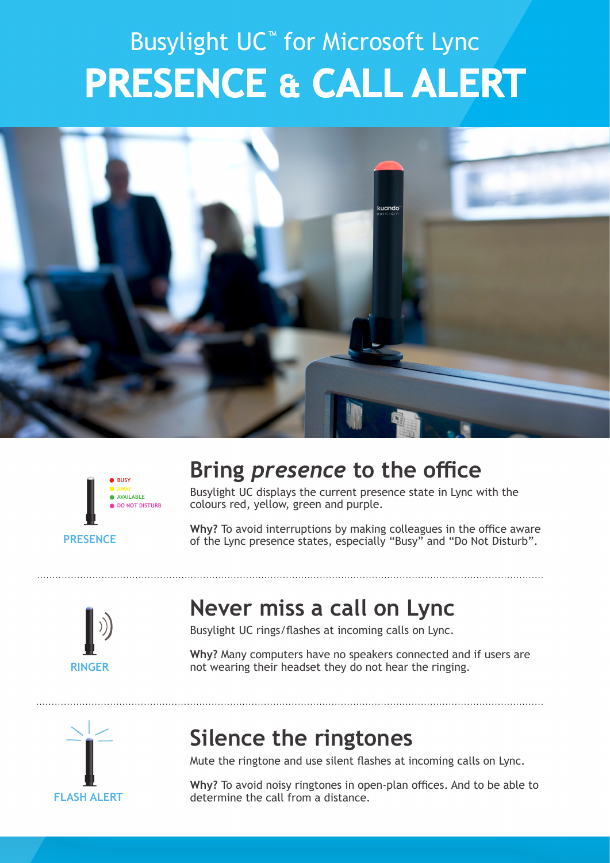## Busylight UC™ for Microsoft Lync **PRESENCE & CALL ALERT**





#### **Bring** *presence* **to the office**

Busylight UC displays the current presence state in Lync with the colours red, yellow, green and purple.

**Why?** To avoid interruptions by making colleagues in the office aware **PRESENCE** of the Lync presence states, especially "Busy" and "Do Not Disturb".



#### **Never miss a call on Lync**

Busylight UC rings/flashes at incoming calls on Lync.

**Why?** Many computers have no speakers connected and if users are not wearing their headset they do not hear the ringing.



### **Silence the ringtones**

Mute the ringtone and use silent flashes at incoming calls on Lync.

**Why?** To avoid noisy ringtones in open-plan offices. And to be able to determine the call from a distance.